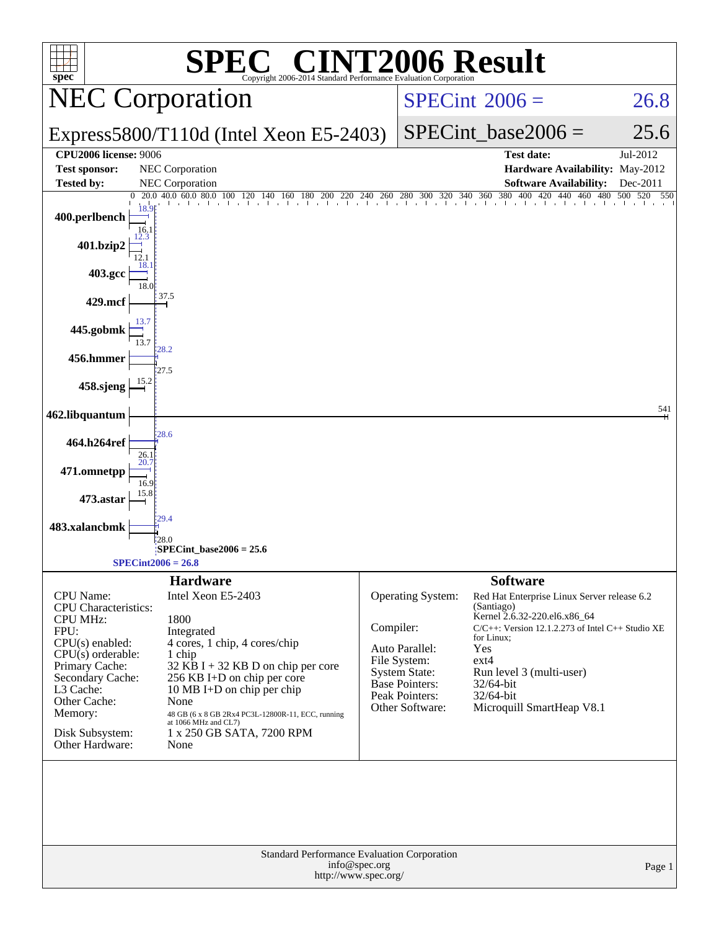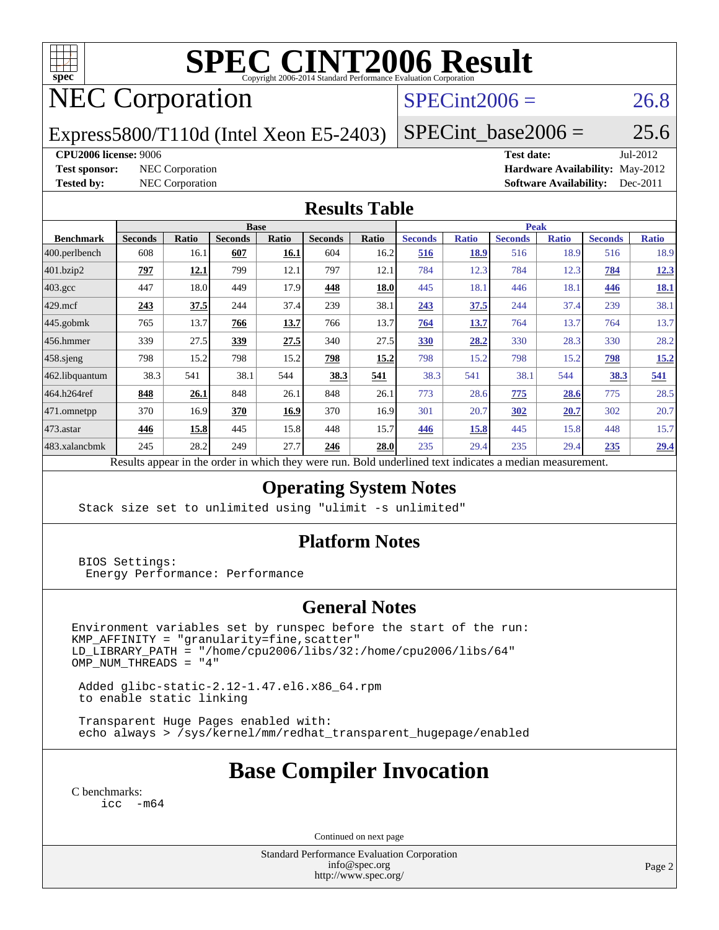

# **[SPEC CINT2006 Result](http://www.spec.org/auto/cpu2006/Docs/result-fields.html#SPECCINT2006Result)**

## NEC Corporation

## $SPECint2006 = 26.8$  $SPECint2006 = 26.8$

Express5800/T110d (Intel Xeon E5-2403)

 $SPECTnt\_base2006 = 25.6$ 

#### **[CPU2006 license:](http://www.spec.org/auto/cpu2006/Docs/result-fields.html#CPU2006license)** 9006 **[Test date:](http://www.spec.org/auto/cpu2006/Docs/result-fields.html#Testdate)** Jul-2012

**[Test sponsor:](http://www.spec.org/auto/cpu2006/Docs/result-fields.html#Testsponsor)** NEC Corporation **[Hardware Availability:](http://www.spec.org/auto/cpu2006/Docs/result-fields.html#HardwareAvailability)** May-2012 **[Tested by:](http://www.spec.org/auto/cpu2006/Docs/result-fields.html#Testedby)** NEC Corporation **[Software Availability:](http://www.spec.org/auto/cpu2006/Docs/result-fields.html#SoftwareAvailability)** Dec-2011

#### **[Results Table](http://www.spec.org/auto/cpu2006/Docs/result-fields.html#ResultsTable)**

|                                                                                                                                                                                                | <b>Base</b>    |              |                |       |                |       | <b>Peak</b>    |              |                |              |                |              |  |
|------------------------------------------------------------------------------------------------------------------------------------------------------------------------------------------------|----------------|--------------|----------------|-------|----------------|-------|----------------|--------------|----------------|--------------|----------------|--------------|--|
| <b>Benchmark</b>                                                                                                                                                                               | <b>Seconds</b> | <b>Ratio</b> | <b>Seconds</b> | Ratio | <b>Seconds</b> | Ratio | <b>Seconds</b> | <b>Ratio</b> | <b>Seconds</b> | <b>Ratio</b> | <b>Seconds</b> | <b>Ratio</b> |  |
| $ 400$ .perlbench                                                                                                                                                                              | 608            | 16.1         | 607            | 16.1  | 604            | 16.2  | 516            | 18.9         | 516            | 18.9         | 516            | 18.9         |  |
| 401.bzip2                                                                                                                                                                                      | 797            | 12.1         | 799            | 12.1  | 797            | 12.1  | 784            | 12.3         | 784            | 12.3         | 784            | 12.3         |  |
| $403.\mathrm{gcc}$                                                                                                                                                                             | 447            | 18.0         | 449            | 17.9  | 448            | 18.0  | 445            | 18.1         | 446            | 18.1         | 446            | <b>18.1</b>  |  |
| $429$ mcf                                                                                                                                                                                      | 243            | 37.5         | 244            | 37.4  | 239            | 38.1  | 243            | 37.5         | 244            | 37.4         | 239            | 38.1         |  |
| $445$ .gobmk                                                                                                                                                                                   | 765            | 13.7         | 766            | 13.7  | 766            | 13.7  | 764            | 13.7         | 764            | 13.7         | 764            | 13.7         |  |
| $456.$ hmmer                                                                                                                                                                                   | 339            | 27.5         | 339            | 27.5  | 340            | 27.5  | 330            | 28.2         | 330            | 28.3         | 330            | 28.2         |  |
| $458$ .sjeng                                                                                                                                                                                   | 798            | 15.2         | 798            | 15.2  | 798            | 15.2  | 798            | 15.2         | 798            | 15.2         | 798            | 15.2         |  |
| 462.libquantum                                                                                                                                                                                 | 38.3           | 541          | 38.1           | 544   | 38.3           | 541   | 38.3           | 541          | 38.1           | 544          | 38.3           | 541          |  |
| 464.h264ref                                                                                                                                                                                    | 848            | 26.1         | 848            | 26.1  | 848            | 26.1  | 773            | 28.6         | 775            | 28.6         | 775            | 28.5         |  |
| 471.omnetpp                                                                                                                                                                                    | 370            | 16.9         | 370            | 16.9  | 370            | 16.9  | 301            | 20.7         | <b>302</b>     | 20.7         | 302            | 20.7         |  |
| $473$ . astar                                                                                                                                                                                  | 446            | 15.8         | 445            | 15.8  | 448            | 15.7  | 446            | 15.8         | 445            | 15.8         | 448            | 15.7         |  |
| 483.xalancbmk                                                                                                                                                                                  | 245            | 28.2         | 249            | 27.7  | 246            | 28.0  | 235            | 29.4         | 235            | 29.4         | 235            | 29.4         |  |
| 2.111<br>$\mathbf{D}$ $\mathbf{L}$<br>1.1.1.1<br>and the first state of the first state of the state of the state of the state of the state of the state of the<br>$-41$<br>$\mathbf{D}$ . 1.1 |                |              |                |       |                |       |                |              |                |              |                |              |  |

Results appear in the [order in which they were run.](http://www.spec.org/auto/cpu2006/Docs/result-fields.html#RunOrder) Bold underlined text [indicates a median measurement.](http://www.spec.org/auto/cpu2006/Docs/result-fields.html#Median)

### **[Operating System Notes](http://www.spec.org/auto/cpu2006/Docs/result-fields.html#OperatingSystemNotes)**

Stack size set to unlimited using "ulimit -s unlimited"

### **[Platform Notes](http://www.spec.org/auto/cpu2006/Docs/result-fields.html#PlatformNotes)**

 BIOS Settings: Energy Performance: Performance

### **[General Notes](http://www.spec.org/auto/cpu2006/Docs/result-fields.html#GeneralNotes)**

Environment variables set by runspec before the start of the run: KMP\_AFFINITY = "granularity=fine,scatter" LD\_LIBRARY\_PATH = "/home/cpu2006/libs/32:/home/cpu2006/libs/64"  $OMP_NUM_THREADS = "4"$ 

 Added glibc-static-2.12-1.47.el6.x86\_64.rpm to enable static linking

 Transparent Huge Pages enabled with: echo always > /sys/kernel/mm/redhat\_transparent\_hugepage/enabled

## **[Base Compiler Invocation](http://www.spec.org/auto/cpu2006/Docs/result-fields.html#BaseCompilerInvocation)**

[C benchmarks](http://www.spec.org/auto/cpu2006/Docs/result-fields.html#Cbenchmarks): [icc -m64](http://www.spec.org/cpu2006/results/res2012q3/cpu2006-20120802-23997.flags.html#user_CCbase_intel_icc_64bit_f346026e86af2a669e726fe758c88044)

Continued on next page

Standard Performance Evaluation Corporation [info@spec.org](mailto:info@spec.org) <http://www.spec.org/>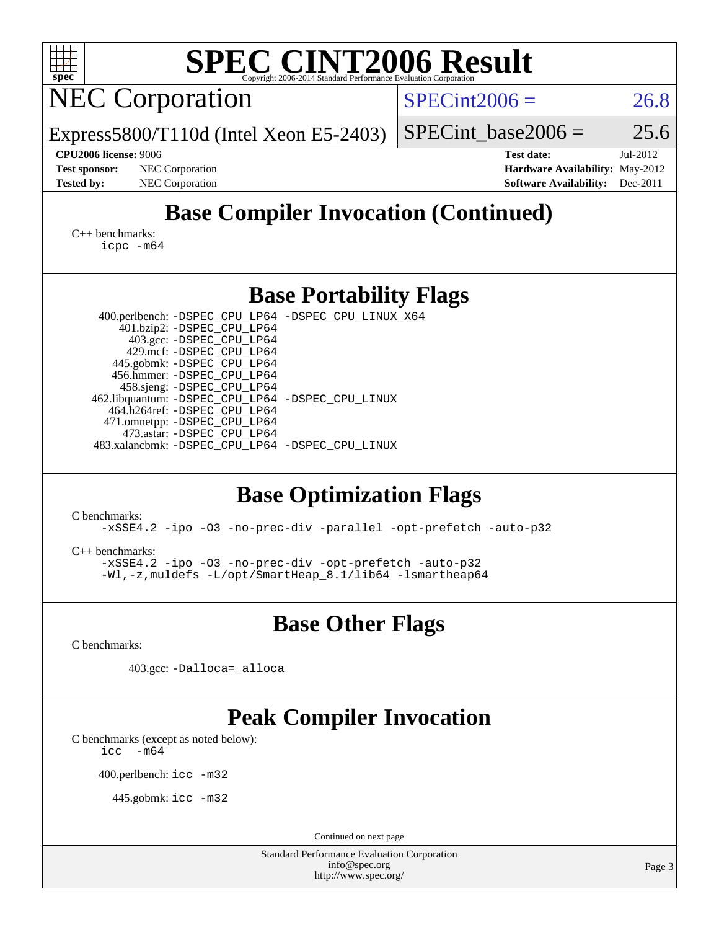| $\text{SPE}_{\text{Copyright 2006-2014 Standard Performance Evaluation Corporation}}$<br>$spec*$                                                                                                                                                                                                                                                                                                                                                                                                                                                                                                                                                                                                              |                      |                                                                                          |
|---------------------------------------------------------------------------------------------------------------------------------------------------------------------------------------------------------------------------------------------------------------------------------------------------------------------------------------------------------------------------------------------------------------------------------------------------------------------------------------------------------------------------------------------------------------------------------------------------------------------------------------------------------------------------------------------------------------|----------------------|------------------------------------------------------------------------------------------|
| <b>NEC Corporation</b>                                                                                                                                                                                                                                                                                                                                                                                                                                                                                                                                                                                                                                                                                        | $SPECint2006 =$      | 26.8                                                                                     |
| Express5800/T110d (Intel Xeon E5-2403)                                                                                                                                                                                                                                                                                                                                                                                                                                                                                                                                                                                                                                                                        | $SPECint base2006 =$ | 25.6                                                                                     |
| <b>CPU2006 license: 9006</b><br>NEC Corporation<br><b>Test sponsor:</b><br><b>Tested by:</b><br>NEC Corporation                                                                                                                                                                                                                                                                                                                                                                                                                                                                                                                                                                                               | <b>Test date:</b>    | Jul-2012<br>Hardware Availability: May-2012<br><b>Software Availability:</b><br>Dec-2011 |
| <b>Base Compiler Invocation (Continued)</b>                                                                                                                                                                                                                                                                                                                                                                                                                                                                                                                                                                                                                                                                   |                      |                                                                                          |
| $C_{++}$ benchmarks:<br>icpc -m64                                                                                                                                                                                                                                                                                                                                                                                                                                                                                                                                                                                                                                                                             |                      |                                                                                          |
| <b>Base Portability Flags</b>                                                                                                                                                                                                                                                                                                                                                                                                                                                                                                                                                                                                                                                                                 |                      |                                                                                          |
| 400.perlbench: -DSPEC_CPU_LP64 -DSPEC_CPU_LINUX_X64<br>401.bzip2: -DSPEC_CPU_LP64<br>403.gcc: -DSPEC_CPU_LP64<br>429.mcf: -DSPEC_CPU_LP64<br>445.gobmk: -DSPEC_CPU_LP64<br>456.hmmer: -DSPEC_CPU_LP64<br>458.sjeng: -DSPEC_CPU_LP64<br>462.libquantum: -DSPEC_CPU_LP64 -DSPEC_CPU_LINUX<br>464.h264ref: -DSPEC_CPU_LP64<br>471.omnetpp: -DSPEC_CPU_LP64<br>473.astar: -DSPEC_CPU_LP64<br>483.xalancbmk: -DSPEC_CPU_LP64 -DSPEC_CPU_LINUX<br><b>Base Optimization Flags</b><br>C benchmarks:<br>-xSSE4.2 -ipo -03 -no-prec-div -parallel -opt-prefetch -auto-p32<br>$C_{++}$ benchmarks:<br>-xSSE4.2 -ipo -03 -no-prec-div -opt-prefetch -auto-p32<br>-Wl,-z, muldefs -L/opt/SmartHeap_8.1/lib64 -lsmartheap64 |                      |                                                                                          |
| <b>Base Other Flags</b>                                                                                                                                                                                                                                                                                                                                                                                                                                                                                                                                                                                                                                                                                       |                      |                                                                                          |
| C benchmarks:                                                                                                                                                                                                                                                                                                                                                                                                                                                                                                                                                                                                                                                                                                 |                      |                                                                                          |
| 403.gcc: -Dalloca=_alloca                                                                                                                                                                                                                                                                                                                                                                                                                                                                                                                                                                                                                                                                                     |                      |                                                                                          |
| <b>Peak Compiler Invocation</b><br>C benchmarks (except as noted below):<br>$-m64$<br>icc<br>400.perlbench: icc -m32<br>445.gobmk: icc -m32                                                                                                                                                                                                                                                                                                                                                                                                                                                                                                                                                                   |                      |                                                                                          |
| Continued on next page                                                                                                                                                                                                                                                                                                                                                                                                                                                                                                                                                                                                                                                                                        |                      |                                                                                          |
| <b>Standard Performance Evaluation Corporation</b><br>info@spec.org<br>http://www.spec.org/                                                                                                                                                                                                                                                                                                                                                                                                                                                                                                                                                                                                                   |                      | Page 3                                                                                   |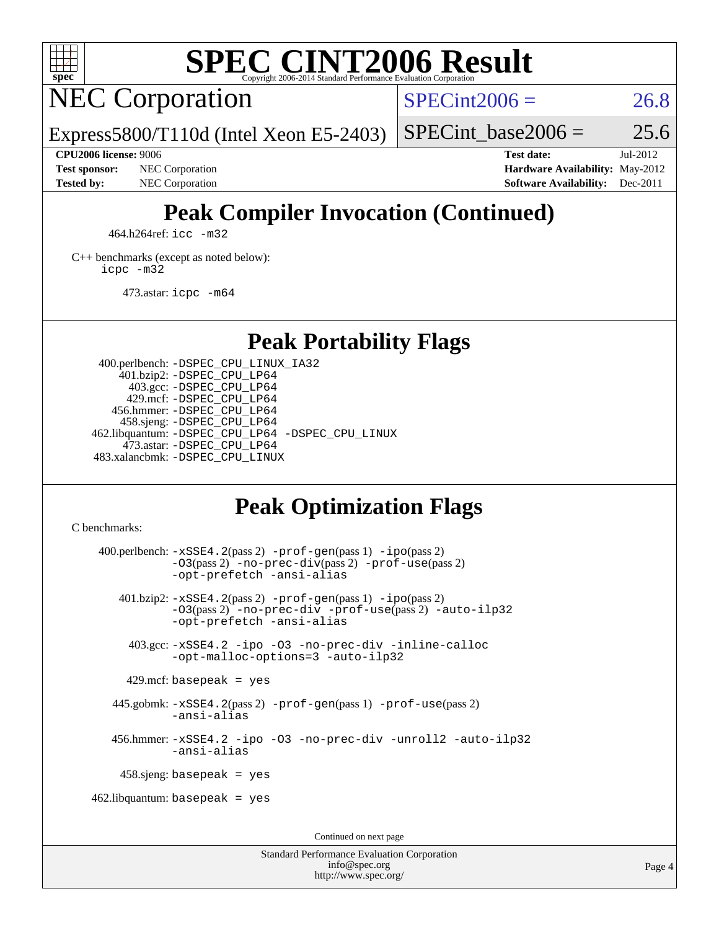

## **[SPEC CINT2006 Result](http://www.spec.org/auto/cpu2006/Docs/result-fields.html#SPECCINT2006Result)**

NEC Corporation

 $SPECint2006 = 26.8$  $SPECint2006 = 26.8$ 

Express5800/T110d (Intel Xeon E5-2403)

#### **[CPU2006 license:](http://www.spec.org/auto/cpu2006/Docs/result-fields.html#CPU2006license)** 9006 **[Test date:](http://www.spec.org/auto/cpu2006/Docs/result-fields.html#Testdate)** Jul-2012

**[Test sponsor:](http://www.spec.org/auto/cpu2006/Docs/result-fields.html#Testsponsor)** NEC Corporation **NEC Corporation [Hardware Availability:](http://www.spec.org/auto/cpu2006/Docs/result-fields.html#HardwareAvailability)** May-2012

SPECint base2006 =  $25.6$ 

**[Tested by:](http://www.spec.org/auto/cpu2006/Docs/result-fields.html#Testedby)** NEC Corporation **[Software Availability:](http://www.spec.org/auto/cpu2006/Docs/result-fields.html#SoftwareAvailability)** Dec-2011

## **[Peak Compiler Invocation \(Continued\)](http://www.spec.org/auto/cpu2006/Docs/result-fields.html#PeakCompilerInvocation)**

464.h264ref: [icc -m32](http://www.spec.org/cpu2006/results/res2012q3/cpu2006-20120802-23997.flags.html#user_peakCCLD464_h264ref_intel_icc_a6a621f8d50482236b970c6ac5f55f93)

[C++ benchmarks \(except as noted below\):](http://www.spec.org/auto/cpu2006/Docs/result-fields.html#CXXbenchmarksexceptasnotedbelow) [icpc -m32](http://www.spec.org/cpu2006/results/res2012q3/cpu2006-20120802-23997.flags.html#user_CXXpeak_intel_icpc_4e5a5ef1a53fd332b3c49e69c3330699)

473.astar: [icpc -m64](http://www.spec.org/cpu2006/results/res2012q3/cpu2006-20120802-23997.flags.html#user_peakCXXLD473_astar_intel_icpc_64bit_fc66a5337ce925472a5c54ad6a0de310)

### **[Peak Portability Flags](http://www.spec.org/auto/cpu2006/Docs/result-fields.html#PeakPortabilityFlags)**

 400.perlbench: [-DSPEC\\_CPU\\_LINUX\\_IA32](http://www.spec.org/cpu2006/results/res2012q3/cpu2006-20120802-23997.flags.html#b400.perlbench_peakCPORTABILITY_DSPEC_CPU_LINUX_IA32) 401.bzip2: [-DSPEC\\_CPU\\_LP64](http://www.spec.org/cpu2006/results/res2012q3/cpu2006-20120802-23997.flags.html#suite_peakPORTABILITY401_bzip2_DSPEC_CPU_LP64) 403.gcc: [-DSPEC\\_CPU\\_LP64](http://www.spec.org/cpu2006/results/res2012q3/cpu2006-20120802-23997.flags.html#suite_peakPORTABILITY403_gcc_DSPEC_CPU_LP64) 429.mcf: [-DSPEC\\_CPU\\_LP64](http://www.spec.org/cpu2006/results/res2012q3/cpu2006-20120802-23997.flags.html#suite_peakPORTABILITY429_mcf_DSPEC_CPU_LP64) 456.hmmer: [-DSPEC\\_CPU\\_LP64](http://www.spec.org/cpu2006/results/res2012q3/cpu2006-20120802-23997.flags.html#suite_peakPORTABILITY456_hmmer_DSPEC_CPU_LP64) 458.sjeng: [-DSPEC\\_CPU\\_LP64](http://www.spec.org/cpu2006/results/res2012q3/cpu2006-20120802-23997.flags.html#suite_peakPORTABILITY458_sjeng_DSPEC_CPU_LP64) 462.libquantum: [-DSPEC\\_CPU\\_LP64](http://www.spec.org/cpu2006/results/res2012q3/cpu2006-20120802-23997.flags.html#suite_peakPORTABILITY462_libquantum_DSPEC_CPU_LP64) [-DSPEC\\_CPU\\_LINUX](http://www.spec.org/cpu2006/results/res2012q3/cpu2006-20120802-23997.flags.html#b462.libquantum_peakCPORTABILITY_DSPEC_CPU_LINUX) 473.astar: [-DSPEC\\_CPU\\_LP64](http://www.spec.org/cpu2006/results/res2012q3/cpu2006-20120802-23997.flags.html#suite_peakPORTABILITY473_astar_DSPEC_CPU_LP64) 483.xalancbmk: [-DSPEC\\_CPU\\_LINUX](http://www.spec.org/cpu2006/results/res2012q3/cpu2006-20120802-23997.flags.html#b483.xalancbmk_peakCXXPORTABILITY_DSPEC_CPU_LINUX)

## **[Peak Optimization Flags](http://www.spec.org/auto/cpu2006/Docs/result-fields.html#PeakOptimizationFlags)**

[C benchmarks](http://www.spec.org/auto/cpu2006/Docs/result-fields.html#Cbenchmarks):

 400.perlbench: [-xSSE4.2](http://www.spec.org/cpu2006/results/res2012q3/cpu2006-20120802-23997.flags.html#user_peakPASS2_CFLAGSPASS2_LDCFLAGS400_perlbench_f-xSSE42_f91528193cf0b216347adb8b939d4107)(pass 2) [-prof-gen](http://www.spec.org/cpu2006/results/res2012q3/cpu2006-20120802-23997.flags.html#user_peakPASS1_CFLAGSPASS1_LDCFLAGS400_perlbench_prof_gen_e43856698f6ca7b7e442dfd80e94a8fc)(pass 1) [-ipo](http://www.spec.org/cpu2006/results/res2012q3/cpu2006-20120802-23997.flags.html#user_peakPASS2_CFLAGSPASS2_LDCFLAGS400_perlbench_f-ipo)(pass 2) [-O3](http://www.spec.org/cpu2006/results/res2012q3/cpu2006-20120802-23997.flags.html#user_peakPASS2_CFLAGSPASS2_LDCFLAGS400_perlbench_f-O3)(pass 2) [-no-prec-div](http://www.spec.org/cpu2006/results/res2012q3/cpu2006-20120802-23997.flags.html#user_peakPASS2_CFLAGSPASS2_LDCFLAGS400_perlbench_f-no-prec-div)(pass 2) [-prof-use](http://www.spec.org/cpu2006/results/res2012q3/cpu2006-20120802-23997.flags.html#user_peakPASS2_CFLAGSPASS2_LDCFLAGS400_perlbench_prof_use_bccf7792157ff70d64e32fe3e1250b55)(pass 2) [-opt-prefetch](http://www.spec.org/cpu2006/results/res2012q3/cpu2006-20120802-23997.flags.html#user_peakCOPTIMIZE400_perlbench_f-opt-prefetch) [-ansi-alias](http://www.spec.org/cpu2006/results/res2012q3/cpu2006-20120802-23997.flags.html#user_peakCOPTIMIZE400_perlbench_f-ansi-alias) 401.bzip2: [-xSSE4.2](http://www.spec.org/cpu2006/results/res2012q3/cpu2006-20120802-23997.flags.html#user_peakPASS2_CFLAGSPASS2_LDCFLAGS401_bzip2_f-xSSE42_f91528193cf0b216347adb8b939d4107)(pass 2) [-prof-gen](http://www.spec.org/cpu2006/results/res2012q3/cpu2006-20120802-23997.flags.html#user_peakPASS1_CFLAGSPASS1_LDCFLAGS401_bzip2_prof_gen_e43856698f6ca7b7e442dfd80e94a8fc)(pass 1) [-ipo](http://www.spec.org/cpu2006/results/res2012q3/cpu2006-20120802-23997.flags.html#user_peakPASS2_CFLAGSPASS2_LDCFLAGS401_bzip2_f-ipo)(pass 2) [-O3](http://www.spec.org/cpu2006/results/res2012q3/cpu2006-20120802-23997.flags.html#user_peakPASS2_CFLAGSPASS2_LDCFLAGS401_bzip2_f-O3)(pass 2) [-no-prec-div](http://www.spec.org/cpu2006/results/res2012q3/cpu2006-20120802-23997.flags.html#user_peakCOPTIMIZEPASS2_CFLAGSPASS2_LDCFLAGS401_bzip2_f-no-prec-div) [-prof-use](http://www.spec.org/cpu2006/results/res2012q3/cpu2006-20120802-23997.flags.html#user_peakPASS2_CFLAGSPASS2_LDCFLAGS401_bzip2_prof_use_bccf7792157ff70d64e32fe3e1250b55)(pass 2) [-auto-ilp32](http://www.spec.org/cpu2006/results/res2012q3/cpu2006-20120802-23997.flags.html#user_peakCOPTIMIZE401_bzip2_f-auto-ilp32) [-opt-prefetch](http://www.spec.org/cpu2006/results/res2012q3/cpu2006-20120802-23997.flags.html#user_peakCOPTIMIZE401_bzip2_f-opt-prefetch) [-ansi-alias](http://www.spec.org/cpu2006/results/res2012q3/cpu2006-20120802-23997.flags.html#user_peakCOPTIMIZE401_bzip2_f-ansi-alias) 403.gcc: [-xSSE4.2](http://www.spec.org/cpu2006/results/res2012q3/cpu2006-20120802-23997.flags.html#user_peakCOPTIMIZE403_gcc_f-xSSE42_f91528193cf0b216347adb8b939d4107) [-ipo](http://www.spec.org/cpu2006/results/res2012q3/cpu2006-20120802-23997.flags.html#user_peakCOPTIMIZE403_gcc_f-ipo) [-O3](http://www.spec.org/cpu2006/results/res2012q3/cpu2006-20120802-23997.flags.html#user_peakCOPTIMIZE403_gcc_f-O3) [-no-prec-div](http://www.spec.org/cpu2006/results/res2012q3/cpu2006-20120802-23997.flags.html#user_peakCOPTIMIZE403_gcc_f-no-prec-div) [-inline-calloc](http://www.spec.org/cpu2006/results/res2012q3/cpu2006-20120802-23997.flags.html#user_peakCOPTIMIZE403_gcc_f-inline-calloc) [-opt-malloc-options=3](http://www.spec.org/cpu2006/results/res2012q3/cpu2006-20120802-23997.flags.html#user_peakCOPTIMIZE403_gcc_f-opt-malloc-options_13ab9b803cf986b4ee62f0a5998c2238) [-auto-ilp32](http://www.spec.org/cpu2006/results/res2012q3/cpu2006-20120802-23997.flags.html#user_peakCOPTIMIZE403_gcc_f-auto-ilp32)  $429$ .mcf: basepeak = yes 445.gobmk: [-xSSE4.2](http://www.spec.org/cpu2006/results/res2012q3/cpu2006-20120802-23997.flags.html#user_peakPASS2_CFLAGSPASS2_LDCFLAGS445_gobmk_f-xSSE42_f91528193cf0b216347adb8b939d4107)(pass 2) [-prof-gen](http://www.spec.org/cpu2006/results/res2012q3/cpu2006-20120802-23997.flags.html#user_peakPASS1_CFLAGSPASS1_LDCFLAGS445_gobmk_prof_gen_e43856698f6ca7b7e442dfd80e94a8fc)(pass 1) [-prof-use](http://www.spec.org/cpu2006/results/res2012q3/cpu2006-20120802-23997.flags.html#user_peakPASS2_CFLAGSPASS2_LDCFLAGS445_gobmk_prof_use_bccf7792157ff70d64e32fe3e1250b55)(pass 2) [-ansi-alias](http://www.spec.org/cpu2006/results/res2012q3/cpu2006-20120802-23997.flags.html#user_peakCOPTIMIZE445_gobmk_f-ansi-alias) 456.hmmer: [-xSSE4.2](http://www.spec.org/cpu2006/results/res2012q3/cpu2006-20120802-23997.flags.html#user_peakCOPTIMIZE456_hmmer_f-xSSE42_f91528193cf0b216347adb8b939d4107) [-ipo](http://www.spec.org/cpu2006/results/res2012q3/cpu2006-20120802-23997.flags.html#user_peakCOPTIMIZE456_hmmer_f-ipo) [-O3](http://www.spec.org/cpu2006/results/res2012q3/cpu2006-20120802-23997.flags.html#user_peakCOPTIMIZE456_hmmer_f-O3) [-no-prec-div](http://www.spec.org/cpu2006/results/res2012q3/cpu2006-20120802-23997.flags.html#user_peakCOPTIMIZE456_hmmer_f-no-prec-div) [-unroll2](http://www.spec.org/cpu2006/results/res2012q3/cpu2006-20120802-23997.flags.html#user_peakCOPTIMIZE456_hmmer_f-unroll_784dae83bebfb236979b41d2422d7ec2) [-auto-ilp32](http://www.spec.org/cpu2006/results/res2012q3/cpu2006-20120802-23997.flags.html#user_peakCOPTIMIZE456_hmmer_f-auto-ilp32) [-ansi-alias](http://www.spec.org/cpu2006/results/res2012q3/cpu2006-20120802-23997.flags.html#user_peakCOPTIMIZE456_hmmer_f-ansi-alias) 458.sjeng: basepeak = yes  $462$ .libquantum: basepeak = yes Continued on next page

> Standard Performance Evaluation Corporation [info@spec.org](mailto:info@spec.org) <http://www.spec.org/>